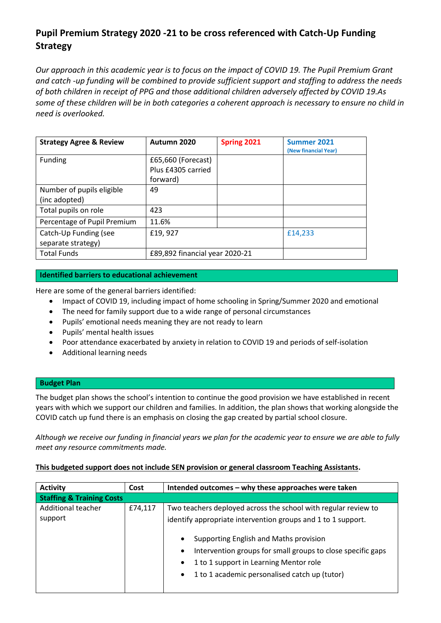# **Pupil Premium Strategy 2020 -21 to be cross referenced with Catch-Up Funding Strategy**

*Our approach in this academic year is to focus on the impact of COVID 19. The Pupil Premium Grant and catch -up funding will be combined to provide sufficient support and staffing to address the needs of both children in receipt of PPG and those additional children adversely affected by COVID 19.As some of these children will be in both categories a coherent approach is necessary to ensure no child in need is overlooked.*

| <b>Strategy Agree &amp; Review</b> | Autumn 2020                    | Spring 2021 | Summer 2021<br>(New financial Year) |
|------------------------------------|--------------------------------|-------------|-------------------------------------|
| Funding                            | £65,660 (Forecast)             |             |                                     |
|                                    | Plus £4305 carried             |             |                                     |
|                                    | forward)                       |             |                                     |
| Number of pupils eligible          | 49                             |             |                                     |
| (inc adopted)                      |                                |             |                                     |
| Total pupils on role               | 423                            |             |                                     |
| Percentage of Pupil Premium        | 11.6%                          |             |                                     |
| Catch-Up Funding (see              | £19,927                        |             | £14,233                             |
| separate strategy)                 |                                |             |                                     |
| <b>Total Funds</b>                 | £89,892 financial year 2020-21 |             |                                     |

# **Identified barriers to educational achievement**

Here are some of the general barriers identified:

- Impact of COVID 19, including impact of home schooling in Spring/Summer 2020 and emotional
- The need for family support due to a wide range of personal circumstances
- Pupils' emotional needs meaning they are not ready to learn
- Pupils' mental health issues
- Poor attendance exacerbated by anxiety in relation to COVID 19 and periods of self-isolation
- Additional learning needs

### **Budget Plan**

The budget plan shows the school's intention to continue the good provision we have established in recent years with which we support our children and families. In addition, the plan shows that working alongside the COVID catch up fund there is an emphasis on closing the gap created by partial school closure.

*Although we receive our funding in financial years we plan for the academic year to ensure we are able to fully meet any resource commitments made.*

# **This budgeted support does not include SEN provision or general classroom Teaching Assistants.**

| <b>Activity</b>                      | Cost    | Intended outcomes – why these approaches were taken                                                                                                                                                                                                                                                                                                                                    |  |
|--------------------------------------|---------|----------------------------------------------------------------------------------------------------------------------------------------------------------------------------------------------------------------------------------------------------------------------------------------------------------------------------------------------------------------------------------------|--|
| <b>Staffing &amp; Training Costs</b> |         |                                                                                                                                                                                                                                                                                                                                                                                        |  |
| Additional teacher<br>support        | £74,117 | Two teachers deployed across the school with regular review to<br>identify appropriate intervention groups and 1 to 1 support.<br>Supporting English and Maths provision<br>$\bullet$<br>Intervention groups for small groups to close specific gaps<br>$\bullet$<br>1 to 1 support in Learning Mentor role<br>$\bullet$<br>1 to 1 academic personalised catch up (tutor)<br>$\bullet$ |  |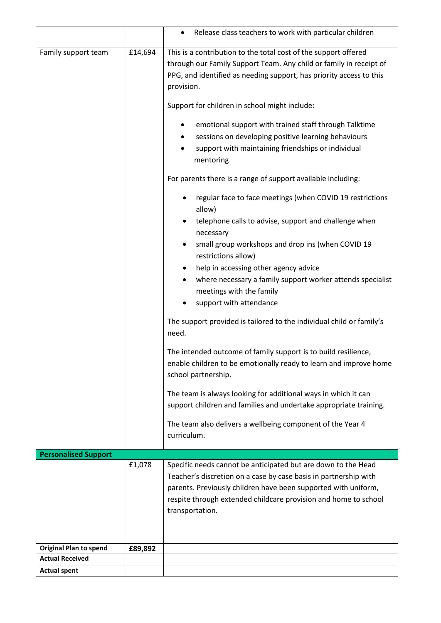|                                                         |         | Release class teachers to work with particular children<br>$\bullet$                                                                                                                                                                                                                      |  |  |
|---------------------------------------------------------|---------|-------------------------------------------------------------------------------------------------------------------------------------------------------------------------------------------------------------------------------------------------------------------------------------------|--|--|
| Family support team                                     | £14,694 | This is a contribution to the total cost of the support offered<br>through our Family Support Team. Any child or family in receipt of<br>PPG, and identified as needing support, has priority access to this<br>provision.                                                                |  |  |
|                                                         |         | Support for children in school might include:<br>emotional support with trained staff through Talktime<br>٠                                                                                                                                                                               |  |  |
|                                                         |         | sessions on developing positive learning behaviours<br>support with maintaining friendships or individual<br>mentoring                                                                                                                                                                    |  |  |
|                                                         |         | For parents there is a range of support available including:                                                                                                                                                                                                                              |  |  |
|                                                         |         | regular face to face meetings (when COVID 19 restrictions<br>٠<br>allow)                                                                                                                                                                                                                  |  |  |
|                                                         |         | telephone calls to advise, support and challenge when<br>٠<br>necessary                                                                                                                                                                                                                   |  |  |
|                                                         |         | small group workshops and drop ins (when COVID 19<br>$\bullet$<br>restrictions allow)                                                                                                                                                                                                     |  |  |
|                                                         |         | help in accessing other agency advice<br>٠<br>where necessary a family support worker attends specialist<br>meetings with the family<br>support with attendance                                                                                                                           |  |  |
|                                                         |         | The support provided is tailored to the individual child or family's<br>need.                                                                                                                                                                                                             |  |  |
|                                                         |         | The intended outcome of family support is to build resilience,<br>enable children to be emotionally ready to learn and improve home<br>school partnership.                                                                                                                                |  |  |
|                                                         |         | The team is always looking for additional ways in which it can<br>support children and families and undertake appropriate training.                                                                                                                                                       |  |  |
|                                                         |         | The team also delivers a wellbeing component of the Year 4<br>curriculum.                                                                                                                                                                                                                 |  |  |
| <b>Personalised Support</b>                             |         |                                                                                                                                                                                                                                                                                           |  |  |
|                                                         | £1,078  | Specific needs cannot be anticipated but are down to the Head<br>Teacher's discretion on a case by case basis in partnership with<br>parents. Previously children have been supported with uniform,<br>respite through extended childcare provision and home to school<br>transportation. |  |  |
|                                                         |         |                                                                                                                                                                                                                                                                                           |  |  |
| <b>Original Plan to spend</b><br><b>Actual Received</b> | £89,892 |                                                                                                                                                                                                                                                                                           |  |  |
| <b>Actual spent</b>                                     |         |                                                                                                                                                                                                                                                                                           |  |  |